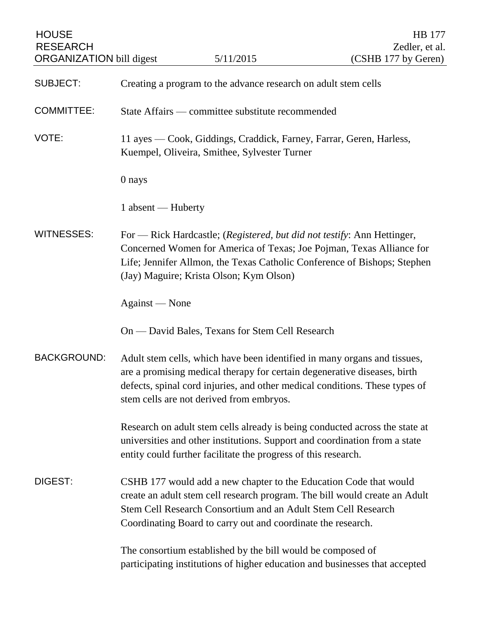| <b>HOUSE</b><br><b>RESEARCH</b><br><b>ORGANIZATION</b> bill digest |                                                                | 5/11/2015                                                                                                                                                                                                                                                                        | HB 177<br>Zedler, et al.<br>(CSHB 177 by Geren) |
|--------------------------------------------------------------------|----------------------------------------------------------------|----------------------------------------------------------------------------------------------------------------------------------------------------------------------------------------------------------------------------------------------------------------------------------|-------------------------------------------------|
| <b>SUBJECT:</b>                                                    | Creating a program to the advance research on adult stem cells |                                                                                                                                                                                                                                                                                  |                                                 |
| <b>COMMITTEE:</b>                                                  | State Affairs — committee substitute recommended               |                                                                                                                                                                                                                                                                                  |                                                 |
| VOTE:                                                              |                                                                | 11 ayes — Cook, Giddings, Craddick, Farney, Farrar, Geren, Harless,<br>Kuempel, Oliveira, Smithee, Sylvester Turner                                                                                                                                                              |                                                 |
|                                                                    | 0 nays                                                         |                                                                                                                                                                                                                                                                                  |                                                 |
|                                                                    | 1 absent - Huberty                                             |                                                                                                                                                                                                                                                                                  |                                                 |
| <b>WITNESSES:</b>                                                  |                                                                | For - Rick Hardcastle; (Registered, but did not testify: Ann Hettinger,<br>Concerned Women for America of Texas; Joe Pojman, Texas Alliance for<br>Life; Jennifer Allmon, the Texas Catholic Conference of Bishops; Stephen<br>(Jay) Maguire; Krista Olson; Kym Olson)           |                                                 |
|                                                                    | Against — None                                                 |                                                                                                                                                                                                                                                                                  |                                                 |
|                                                                    |                                                                | On — David Bales, Texans for Stem Cell Research                                                                                                                                                                                                                                  |                                                 |
| <b>BACKGROUND:</b>                                                 |                                                                | Adult stem cells, which have been identified in many organs and tissues,<br>are a promising medical therapy for certain degenerative diseases, birth<br>defects, spinal cord injuries, and other medical conditions. These types of<br>stem cells are not derived from embryos.  |                                                 |
|                                                                    |                                                                | Research on adult stem cells already is being conducted across the state at<br>universities and other institutions. Support and coordination from a state<br>entity could further facilitate the progress of this research.                                                      |                                                 |
| DIGEST:                                                            |                                                                | CSHB 177 would add a new chapter to the Education Code that would<br>create an adult stem cell research program. The bill would create an Adult<br>Stem Cell Research Consortium and an Adult Stem Cell Research<br>Coordinating Board to carry out and coordinate the research. |                                                 |
|                                                                    |                                                                | The consortium established by the bill would be composed of<br>participating institutions of higher education and businesses that accepted                                                                                                                                       |                                                 |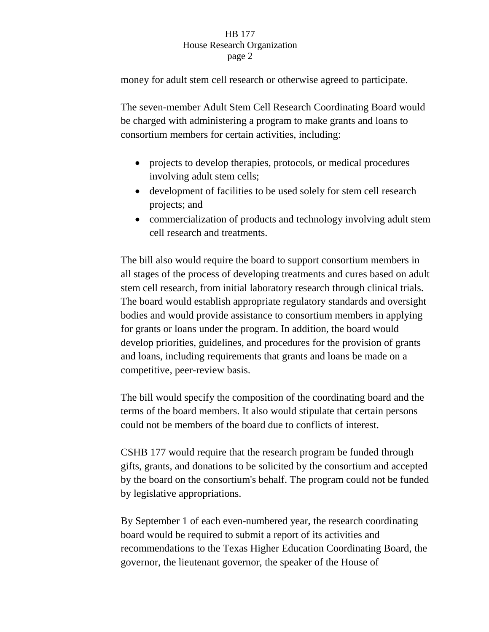## HB 177 House Research Organization page 2

money for adult stem cell research or otherwise agreed to participate.

The seven-member Adult Stem Cell Research Coordinating Board would be charged with administering a program to make grants and loans to consortium members for certain activities, including:

- projects to develop therapies, protocols, or medical procedures involving adult stem cells;
- development of facilities to be used solely for stem cell research projects; and
- commercialization of products and technology involving adult stem cell research and treatments.

The bill also would require the board to support consortium members in all stages of the process of developing treatments and cures based on adult stem cell research, from initial laboratory research through clinical trials. The board would establish appropriate regulatory standards and oversight bodies and would provide assistance to consortium members in applying for grants or loans under the program. In addition, the board would develop priorities, guidelines, and procedures for the provision of grants and loans, including requirements that grants and loans be made on a competitive, peer-review basis.

The bill would specify the composition of the coordinating board and the terms of the board members. It also would stipulate that certain persons could not be members of the board due to conflicts of interest.

CSHB 177 would require that the research program be funded through gifts, grants, and donations to be solicited by the consortium and accepted by the board on the consortium's behalf. The program could not be funded by legislative appropriations.

By September 1 of each even-numbered year, the research coordinating board would be required to submit a report of its activities and recommendations to the Texas Higher Education Coordinating Board, the governor, the lieutenant governor, the speaker of the House of